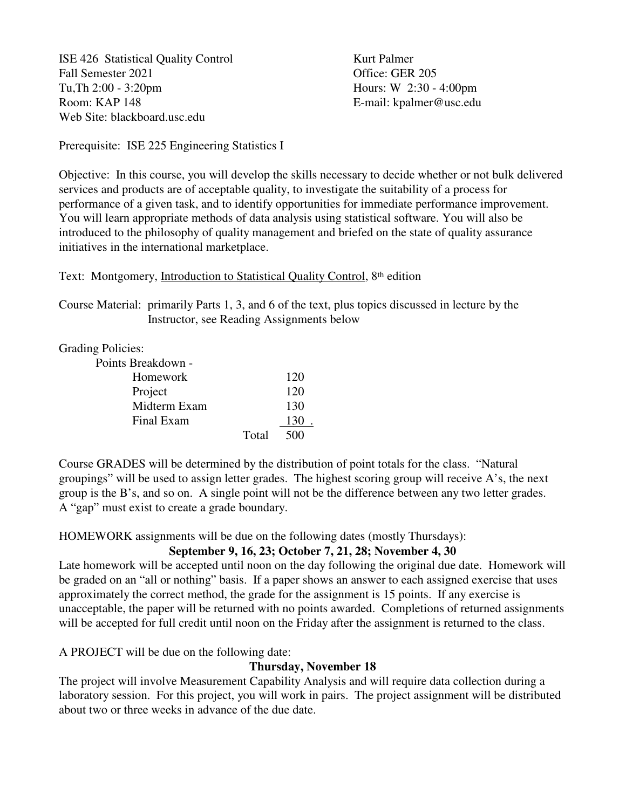ISE 426 Statistical Quality Control Kurt Palmer Fall Semester 2021 Contract Contract Contract Contract Contract Contract Contract Contract Contract Contract Contract Contract Contract Contract Contract Contract Contract Contract Contract Contract Contract Contract Contr Tu,Th 2:00 - 3:20pm Hours: W 2:30 - 4:00pm Room: KAP 148 E-mail: kpalmer@usc.edu Web Site: blackboard.usc.edu

Prerequisite: ISE 225 Engineering Statistics I

Objective: In this course, you will develop the skills necessary to decide whether or not bulk delivered services and products are of acceptable quality, to investigate the suitability of a process for performance of a given task, and to identify opportunities for immediate performance improvement. You will learn appropriate methods of data analysis using statistical software. You will also be introduced to the philosophy of quality management and briefed on the state of quality assurance initiatives in the international marketplace.

Text: Montgomery, Introduction to Statistical Quality Control, 8th edition

Course Material: primarily Parts 1, 3, and 6 of the text, plus topics discussed in lecture by the Instructor, see Reading Assignments below

# Grading Policies:

| Points Breakdown - |       |     |
|--------------------|-------|-----|
| Homework           |       | 120 |
| Project            |       | 120 |
| Midterm Exam       |       | 130 |
| Final Exam         |       | 130 |
|                    | Total | 500 |

Course GRADES will be determined by the distribution of point totals for the class. "Natural groupings" will be used to assign letter grades. The highest scoring group will receive A's, the next group is the B's, and so on. A single point will not be the difference between any two letter grades. A "gap" must exist to create a grade boundary.

HOMEWORK assignments will be due on the following dates (mostly Thursdays):

# **September 9, 16, 23; October 7, 21, 28; November 4, 30**

Late homework will be accepted until noon on the day following the original due date. Homework will be graded on an "all or nothing" basis. If a paper shows an answer to each assigned exercise that uses approximately the correct method, the grade for the assignment is 15 points. If any exercise is unacceptable, the paper will be returned with no points awarded. Completions of returned assignments will be accepted for full credit until noon on the Friday after the assignment is returned to the class.

A PROJECT will be due on the following date:

# **Thursday, November 18**

The project will involve Measurement Capability Analysis and will require data collection during a laboratory session. For this project, you will work in pairs. The project assignment will be distributed about two or three weeks in advance of the due date.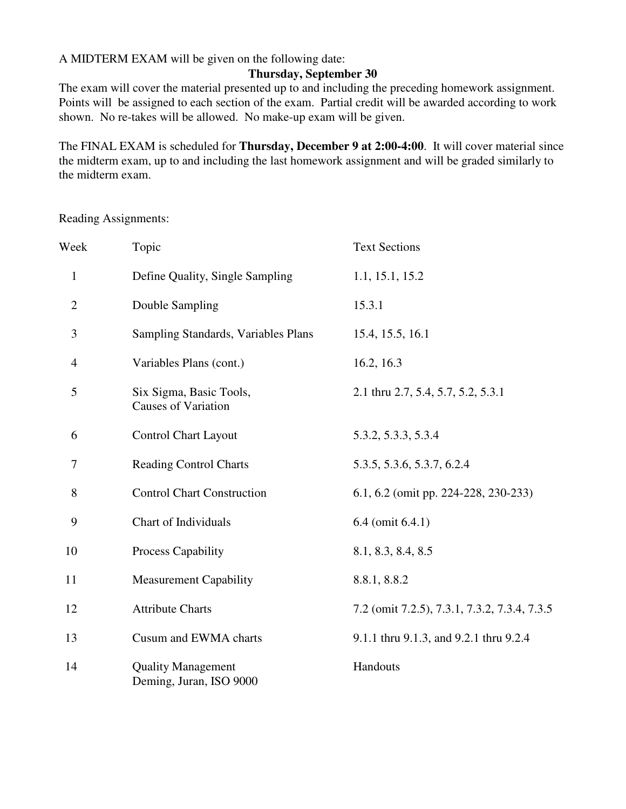A MIDTERM EXAM will be given on the following date:

# **Thursday, September 30**

The exam will cover the material presented up to and including the preceding homework assignment. Points will be assigned to each section of the exam. Partial credit will be awarded according to work shown. No re-takes will be allowed. No make-up exam will be given.

The FINAL EXAM is scheduled for **Thursday, December 9 at 2:00-4:00**. It will cover material since the midterm exam, up to and including the last homework assignment and will be graded similarly to the midterm exam.

Reading Assignments:

| Week           | Topic                                                 | <b>Text Sections</b>                         |
|----------------|-------------------------------------------------------|----------------------------------------------|
| $\mathbf{1}$   | Define Quality, Single Sampling                       | 1.1, 15.1, 15.2                              |
| $\mathbf{2}$   | Double Sampling                                       | 15.3.1                                       |
| $\mathfrak{Z}$ | Sampling Standards, Variables Plans                   | 15.4, 15.5, 16.1                             |
| 4              | Variables Plans (cont.)                               | 16.2, 16.3                                   |
| 5              | Six Sigma, Basic Tools,<br><b>Causes of Variation</b> | 2.1 thru 2.7, 5.4, 5.7, 5.2, 5.3.1           |
| 6              | <b>Control Chart Layout</b>                           | 5.3.2, 5.3.3, 5.3.4                          |
| 7              | <b>Reading Control Charts</b>                         | 5.3.5, 5.3.6, 5.3.7, 6.2.4                   |
| 8              | <b>Control Chart Construction</b>                     | 6.1, 6.2 (omit pp. 224-228, 230-233)         |
| 9              | Chart of Individuals                                  | 6.4 (omit 6.4.1)                             |
| 10             | Process Capability                                    | 8.1, 8.3, 8.4, 8.5                           |
| 11             | <b>Measurement Capability</b>                         | 8.8.1, 8.8.2                                 |
| 12             | <b>Attribute Charts</b>                               | 7.2 (omit 7.2.5), 7.3.1, 7.3.2, 7.3.4, 7.3.5 |
| 13             | Cusum and EWMA charts                                 | 9.1.1 thru 9.1.3, and 9.2.1 thru 9.2.4       |
| 14             | <b>Quality Management</b><br>Deming, Juran, ISO 9000  | Handouts                                     |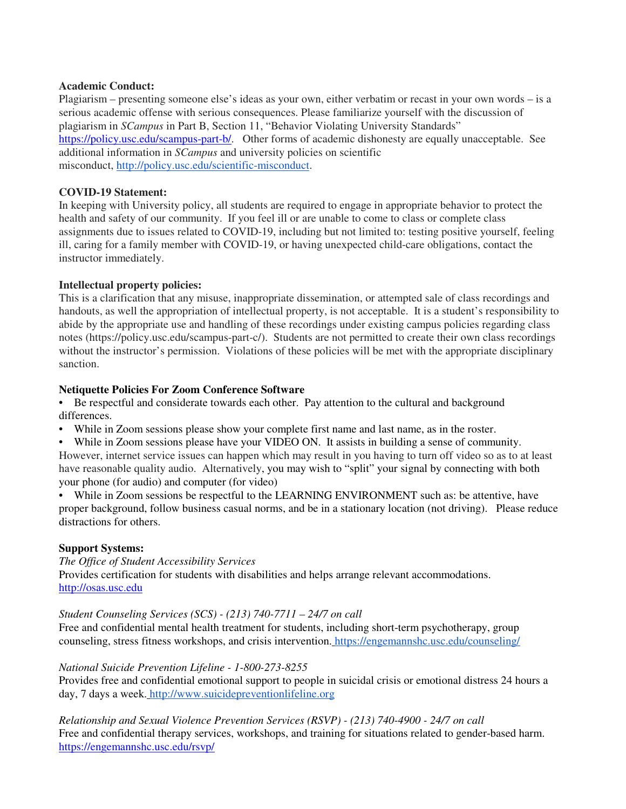### **Academic Conduct:**

Plagiarism – presenting someone else's ideas as your own, either verbatim or recast in your own words – is a serious academic offense with serious consequences. Please familiarize yourself with the discussion of plagiarism in *SCampus* in Part B, Section 11, "Behavior Violating University Standards" https://policy.usc.edu/scampus-part-b/. Other forms of academic dishonesty are equally unacceptable. See additional information in *SCampus* and university policies on scientific misconduct, http://policy.usc.edu/scientific-misconduct.

## **COVID-19 Statement:**

In keeping with University policy, all students are required to engage in appropriate behavior to protect the health and safety of our community. If you feel ill or are unable to come to class or complete class assignments due to issues related to COVID-19, including but not limited to: testing positive yourself, feeling ill, caring for a family member with COVID-19, or having unexpected child-care obligations, contact the instructor immediately.

## **Intellectual property policies:**

This is a clarification that any misuse, inappropriate dissemination, or attempted sale of class recordings and handouts, as well the appropriation of intellectual property, is not acceptable. It is a student's responsibility to abide by the appropriate use and handling of these recordings under existing campus policies regarding class notes (https://policy.usc.edu/scampus-part-c/). Students are not permitted to create their own class recordings without the instructor's permission. Violations of these policies will be met with the appropriate disciplinary sanction.

## **Netiquette Policies For Zoom Conference Software**

• Be respectful and considerate towards each other. Pay attention to the cultural and background differences.

- While in Zoom sessions please show your complete first name and last name, as in the roster.
- While in Zoom sessions please have your VIDEO ON. It assists in building a sense of community. However, internet service issues can happen which may result in you having to turn off video so as to at least have reasonable quality audio. Alternatively, you may wish to "split" your signal by connecting with both your phone (for audio) and computer (for video)

• While in Zoom sessions be respectful to the LEARNING ENVIRONMENT such as: be attentive, have proper background, follow business casual norms, and be in a stationary location (not driving). Please reduce distractions for others.

## **Support Systems:**

*The Office of Student Accessibility Services*  Provides certification for students with disabilities and helps arrange relevant accommodations. http://osas.usc.edu

### *Student Counseling Services (SCS) - (213) 740-7711 – 24/7 on call*

Free and confidential mental health treatment for students, including short-term psychotherapy, group counseling, stress fitness workshops, and crisis intervention. https://engemannshc.usc.edu/counseling/

### *National Suicide Prevention Lifeline - 1-800-273-8255*

Provides free and confidential emotional support to people in suicidal crisis or emotional distress 24 hours a day, 7 days a week. http://www.suicidepreventionlifeline.org

*Relationship and Sexual Violence Prevention Services (RSVP) - (213) 740-4900 - 24/7 on call*  Free and confidential therapy services, workshops, and training for situations related to gender-based harm. https://engemannshc.usc.edu/rsvp/